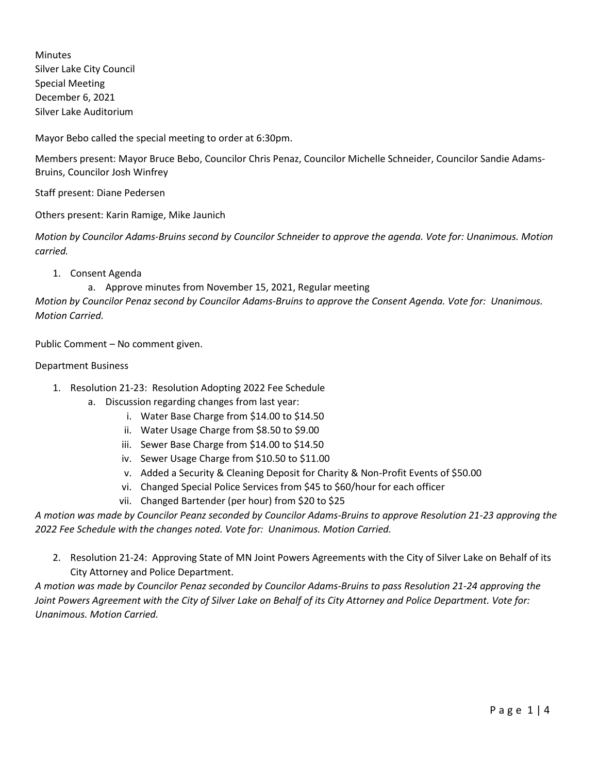Minutes Silver Lake City Council Special Meeting December 6, 2021 Silver Lake Auditorium

Mayor Bebo called the special meeting to order at 6:30pm.

Members present: Mayor Bruce Bebo, Councilor Chris Penaz, Councilor Michelle Schneider, Councilor Sandie Adams-Bruins, Councilor Josh Winfrey

Staff present: Diane Pedersen

Others present: Karin Ramige, Mike Jaunich

*Motion by Councilor Adams-Bruins second by Councilor Schneider to approve the agenda. Vote for: Unanimous. Motion carried.*

1. Consent Agenda

a. Approve minutes from November 15, 2021, Regular meeting

*Motion by Councilor Penaz second by Councilor Adams-Bruins to approve the Consent Agenda. Vote for: Unanimous. Motion Carried.*

Public Comment – No comment given.

## Department Business

- 1. Resolution 21-23: Resolution Adopting 2022 Fee Schedule
	- a. Discussion regarding changes from last year:
		- i. Water Base Charge from \$14.00 to \$14.50
		- ii. Water Usage Charge from \$8.50 to \$9.00
		- iii. Sewer Base Charge from \$14.00 to \$14.50
		- iv. Sewer Usage Charge from \$10.50 to \$11.00
		- v. Added a Security & Cleaning Deposit for Charity & Non-Profit Events of \$50.00
		- vi. Changed Special Police Services from \$45 to \$60/hour for each officer
		- vii. Changed Bartender (per hour) from \$20 to \$25

*A motion was made by Councilor Peanz seconded by Councilor Adams-Bruins to approve Resolution 21-23 approving the 2022 Fee Schedule with the changes noted. Vote for: Unanimous. Motion Carried.*

2. Resolution 21-24: Approving State of MN Joint Powers Agreements with the City of Silver Lake on Behalf of its City Attorney and Police Department.

*A motion was made by Councilor Penaz seconded by Councilor Adams-Bruins to pass Resolution 21-24 approving the Joint Powers Agreement with the City of Silver Lake on Behalf of its City Attorney and Police Department. Vote for: Unanimous. Motion Carried.*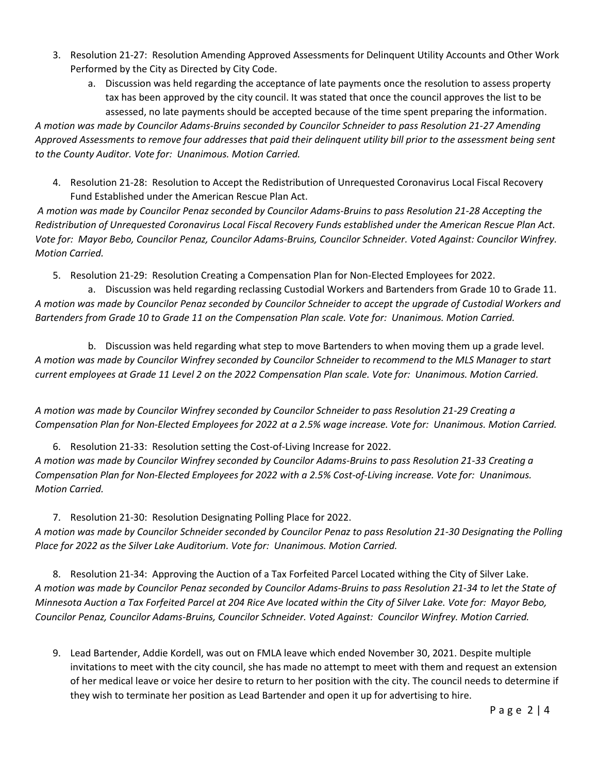- 3. Resolution 21-27: Resolution Amending Approved Assessments for Delinquent Utility Accounts and Other Work Performed by the City as Directed by City Code.
	- a. Discussion was held regarding the acceptance of late payments once the resolution to assess property tax has been approved by the city council. It was stated that once the council approves the list to be assessed, no late payments should be accepted because of the time spent preparing the information.

*A motion was made by Councilor Adams-Bruins seconded by Councilor Schneider to pass Resolution 21-27 Amending Approved Assessments to remove four addresses that paid their delinquent utility bill prior to the assessment being sent to the County Auditor. Vote for: Unanimous. Motion Carried.*

4. Resolution 21-28: Resolution to Accept the Redistribution of Unrequested Coronavirus Local Fiscal Recovery Fund Established under the American Rescue Plan Act.

*A motion was made by Councilor Penaz seconded by Councilor Adams-Bruins to pass Resolution 21-28 Accepting the Redistribution of Unrequested Coronavirus Local Fiscal Recovery Funds established under the American Rescue Plan Act. Vote for: Mayor Bebo, Councilor Penaz, Councilor Adams-Bruins, Councilor Schneider. Voted Against: Councilor Winfrey. Motion Carried.*

5. Resolution 21-29: Resolution Creating a Compensation Plan for Non-Elected Employees for 2022.

a. Discussion was held regarding reclassing Custodial Workers and Bartenders from Grade 10 to Grade 11. *A motion was made by Councilor Penaz seconded by Councilor Schneider to accept the upgrade of Custodial Workers and Bartenders from Grade 10 to Grade 11 on the Compensation Plan scale. Vote for: Unanimous. Motion Carried.*

b. Discussion was held regarding what step to move Bartenders to when moving them up a grade level. *A motion was made by Councilor Winfrey seconded by Councilor Schneider to recommend to the MLS Manager to start current employees at Grade 11 Level 2 on the 2022 Compensation Plan scale. Vote for: Unanimous. Motion Carried.*

*A motion was made by Councilor Winfrey seconded by Councilor Schneider to pass Resolution 21-29 Creating a Compensation Plan for Non-Elected Employees for 2022 at a 2.5% wage increase. Vote for: Unanimous. Motion Carried.*

6. Resolution 21-33: Resolution setting the Cost-of-Living Increase for 2022. *A motion was made by Councilor Winfrey seconded by Councilor Adams-Bruins to pass Resolution 21-33 Creating a Compensation Plan for Non-Elected Employees for 2022 with a 2.5% Cost-of-Living increase. Vote for: Unanimous. Motion Carried.*

7. Resolution 21-30: Resolution Designating Polling Place for 2022. *A motion was made by Councilor Schneider seconded by Councilor Penaz to pass Resolution 21-30 Designating the Polling Place for 2022 as the Silver Lake Auditorium. Vote for: Unanimous. Motion Carried.*

8. Resolution 21-34: Approving the Auction of a Tax Forfeited Parcel Located withing the City of Silver Lake. *A motion was made by Councilor Penaz seconded by Councilor Adams-Bruins to pass Resolution 21-34 to let the State of Minnesota Auction a Tax Forfeited Parcel at 204 Rice Ave located within the City of Silver Lake. Vote for: Mayor Bebo, Councilor Penaz, Councilor Adams-Bruins, Councilor Schneider. Voted Against: Councilor Winfrey. Motion Carried.*

9. Lead Bartender, Addie Kordell, was out on FMLA leave which ended November 30, 2021. Despite multiple invitations to meet with the city council, she has made no attempt to meet with them and request an extension of her medical leave or voice her desire to return to her position with the city. The council needs to determine if they wish to terminate her position as Lead Bartender and open it up for advertising to hire.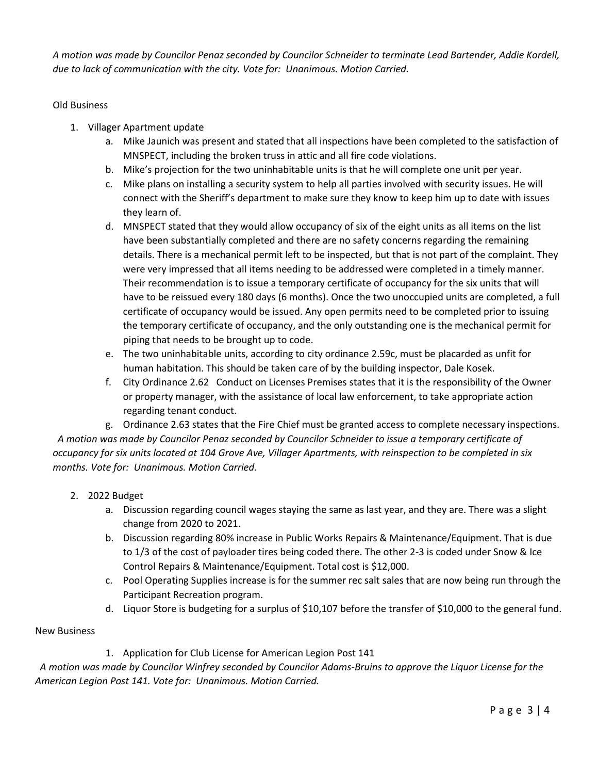*A motion was made by Councilor Penaz seconded by Councilor Schneider to terminate Lead Bartender, Addie Kordell, due to lack of communication with the city. Vote for: Unanimous. Motion Carried.*

## Old Business

- 1. Villager Apartment update
	- a. Mike Jaunich was present and stated that all inspections have been completed to the satisfaction of MNSPECT, including the broken truss in attic and all fire code violations.
	- b. Mike's projection for the two uninhabitable units is that he will complete one unit per year.
	- c. Mike plans on installing a security system to help all parties involved with security issues. He will connect with the Sheriff's department to make sure they know to keep him up to date with issues they learn of.
	- d. MNSPECT stated that they would allow occupancy of six of the eight units as all items on the list have been substantially completed and there are no safety concerns regarding the remaining details. There is a mechanical permit left to be inspected, but that is not part of the complaint. They were very impressed that all items needing to be addressed were completed in a timely manner. Their recommendation is to issue a temporary certificate of occupancy for the six units that will have to be reissued every 180 days (6 months). Once the two unoccupied units are completed, a full certificate of occupancy would be issued. Any open permits need to be completed prior to issuing the temporary certificate of occupancy, and the only outstanding one is the mechanical permit for piping that needs to be brought up to code.
	- e. The two uninhabitable units, according to city ordinance 2.59c, must be placarded as unfit for human habitation. This should be taken care of by the building inspector, Dale Kosek.
	- f. City Ordinance 2.62 Conduct on Licenses Premises states that it is the responsibility of the Owner or property manager, with the assistance of local law enforcement, to take appropriate action regarding tenant conduct.

g. Ordinance 2.63 states that the Fire Chief must be granted access to complete necessary inspections. *A motion was made by Councilor Penaz seconded by Councilor Schneider to issue a temporary certificate of occupancy for six units located at 104 Grove Ave, Villager Apartments, with reinspection to be completed in six months. Vote for: Unanimous. Motion Carried.*

- 2. 2022 Budget
	- a. Discussion regarding council wages staying the same as last year, and they are. There was a slight change from 2020 to 2021.
	- b. Discussion regarding 80% increase in Public Works Repairs & Maintenance/Equipment. That is due to 1/3 of the cost of payloader tires being coded there. The other 2-3 is coded under Snow & Ice Control Repairs & Maintenance/Equipment. Total cost is \$12,000.
	- c. Pool Operating Supplies increase is for the summer rec salt sales that are now being run through the Participant Recreation program.
	- d. Liquor Store is budgeting for a surplus of \$10,107 before the transfer of \$10,000 to the general fund.

## New Business

1. Application for Club License for American Legion Post 141

 *A motion was made by Councilor Winfrey seconded by Councilor Adams-Bruins to approve the Liquor License for the American Legion Post 141. Vote for: Unanimous. Motion Carried.*